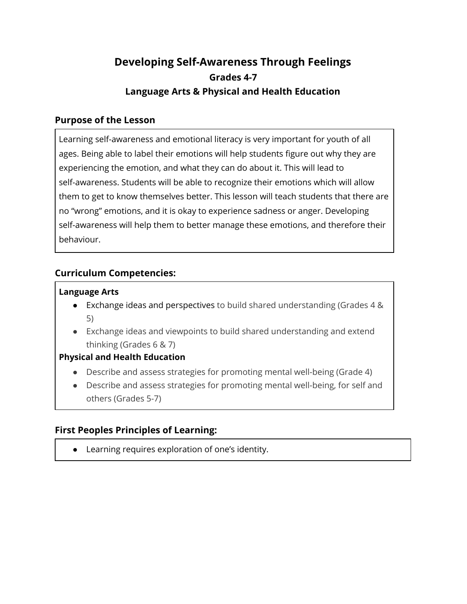# **Developing Self-Awareness Through Feelings Grades 4-7 Language Arts & Physical and Health Education**

### **Purpose of the Lesson**

Learning self-awareness and emotional literacy is very important for youth of all ages. Being able to label their emotions will help students figure out why they are experiencing the emotion, and what they can do about it. This will lead to self-awareness. Students will be able to recognize their emotions which will allow them to get to know themselves better. This lesson will teach students that there are no "wrong" emotions, and it is okay to experience sadness or anger. Developing self-awareness will help them to better manage these emotions, and therefore their behaviour.

# **Curriculum Competencies:**

### **Language Arts**

- Exchange ideas and perspectives to build shared understanding (Grades 4 & 5)
- Exchange ideas and viewpoints to build shared understanding and extend thinking (Grades 6 & 7)

### **Physical and Health Education**

- Describe and assess strategies for promoting mental well-being (Grade 4)
- Describe and assess strategies for promoting mental well-being, for self and others (Grades 5-7)

# **First Peoples Principles of Learning:**

● Learning requires exploration of one's identity.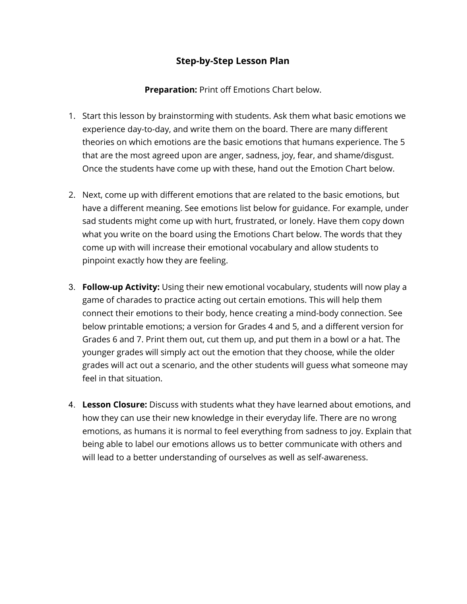# **Step-by-Step Lesson Plan**

**Preparation:** Print off Emotions Chart below.

- 1. Start this lesson by brainstorming with students. Ask them what basic emotions we experience day-to-day, and write them on the board. There are many different theories on which emotions are the basic emotions that humans experience. The 5 that are the most agreed upon are anger, sadness, joy, fear, and shame/disgust. Once the students have come up with these, hand out the Emotion Chart below.
- 2. Next, come up with different emotions that are related to the basic emotions, but have a different meaning. See emotions list below for guidance. For example, under sad students might come up with hurt, frustrated, or lonely. Have them copy down what you write on the board using the Emotions Chart below. The words that they come up with will increase their emotional vocabulary and allow students to pinpoint exactly how they are feeling.
- 3. **Follow-up Activity:** Using their new emotional vocabulary, students will now play a game of charades to practice acting out certain emotions. This will help them connect their emotions to their body, hence creating a mind-body connection. See below printable emotions; a version for Grades 4 and 5, and a different version for Grades 6 and 7. Print them out, cut them up, and put them in a bowl or a hat. The younger grades will simply act out the emotion that they choose, while the older grades will act out a scenario, and the other students will guess what someone may feel in that situation.
- 4. **Lesson Closure:** Discuss with students what they have learned about emotions, and how they can use their new knowledge in their everyday life. There are no wrong emotions, as humans it is normal to feel everything from sadness to joy. Explain that being able to label our emotions allows us to better communicate with others and will lead to a better understanding of ourselves as well as self-awareness.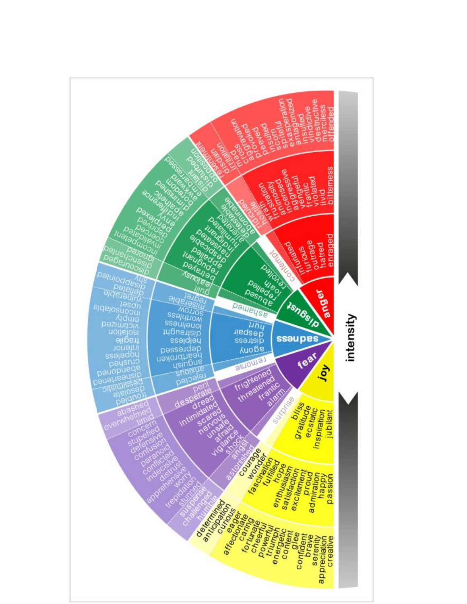